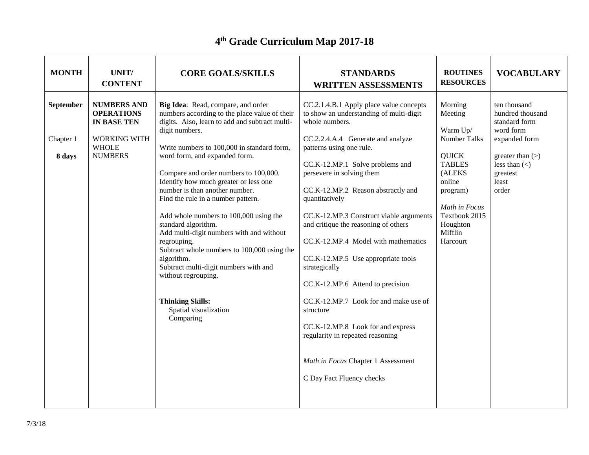## **4 th Grade Curriculum Map 2017-18**

| <b>MONTH</b>           | UNIT/<br><b>CONTENT</b>                                                       | <b>CORE GOALS/SKILLS</b>                                                                                                                                                                                                                                                                                                                                                                                                                                                                       | <b>STANDARDS</b><br><b>WRITTEN ASSESSMENTS</b>                                                                                                                                                                                                                                                                                    | <b>ROUTINES</b><br><b>RESOURCES</b>                                                                                                | <b>VOCABULARY</b>                                                               |
|------------------------|-------------------------------------------------------------------------------|------------------------------------------------------------------------------------------------------------------------------------------------------------------------------------------------------------------------------------------------------------------------------------------------------------------------------------------------------------------------------------------------------------------------------------------------------------------------------------------------|-----------------------------------------------------------------------------------------------------------------------------------------------------------------------------------------------------------------------------------------------------------------------------------------------------------------------------------|------------------------------------------------------------------------------------------------------------------------------------|---------------------------------------------------------------------------------|
| September<br>Chapter 1 | <b>NUMBERS AND</b><br><b>OPERATIONS</b><br>IN BASE TEN<br><b>WORKING WITH</b> | Big Idea: Read, compare, and order<br>numbers according to the place value of their<br>digits. Also, learn to add and subtract multi-<br>digit numbers.                                                                                                                                                                                                                                                                                                                                        | CC.2.1.4.B.1 Apply place value concepts<br>to show an understanding of multi-digit<br>whole numbers.<br>CC.2.2.4.A.4 Generate and analyze                                                                                                                                                                                         | Morning<br>Meeting<br>Warm Up/<br><b>Number Talks</b>                                                                              | ten thousand<br>hundred thousand<br>standard form<br>word form<br>expanded form |
| 8 days                 | <b>WHOLE</b><br><b>NUMBERS</b>                                                | Write numbers to 100,000 in standard form,<br>word form, and expanded form.<br>Compare and order numbers to 100,000.<br>Identify how much greater or less one<br>number is than another number.<br>Find the rule in a number pattern.<br>Add whole numbers to 100,000 using the<br>standard algorithm.<br>Add multi-digit numbers with and without<br>regrouping.<br>Subtract whole numbers to 100,000 using the<br>algorithm.<br>Subtract multi-digit numbers with and<br>without regrouping. | patterns using one rule.<br>CC.K-12.MP.1 Solve problems and<br>persevere in solving them<br>CC.K-12.MP.2 Reason abstractly and<br>quantitatively<br>CC.K-12.MP.3 Construct viable arguments<br>and critique the reasoning of others<br>CC.K-12.MP.4 Model with mathematics<br>CC.K-12.MP.5 Use appropriate tools<br>strategically | <b>QUICK</b><br><b>TABLES</b><br>(ALEKS<br>online<br>program)<br>Math in Focus<br>Textbook 2015<br>Houghton<br>Mifflin<br>Harcourt | greater than $(>)$<br>less than $(\le)$<br>greatest<br>least<br>order           |
|                        |                                                                               | <b>Thinking Skills:</b><br>Spatial visualization<br>Comparing                                                                                                                                                                                                                                                                                                                                                                                                                                  | CC.K-12.MP.6 Attend to precision<br>CC.K-12.MP.7 Look for and make use of<br>structure<br>CC.K-12.MP.8 Look for and express<br>regularity in repeated reasoning<br>Math in Focus Chapter 1 Assessment<br>C Day Fact Fluency checks                                                                                                |                                                                                                                                    |                                                                                 |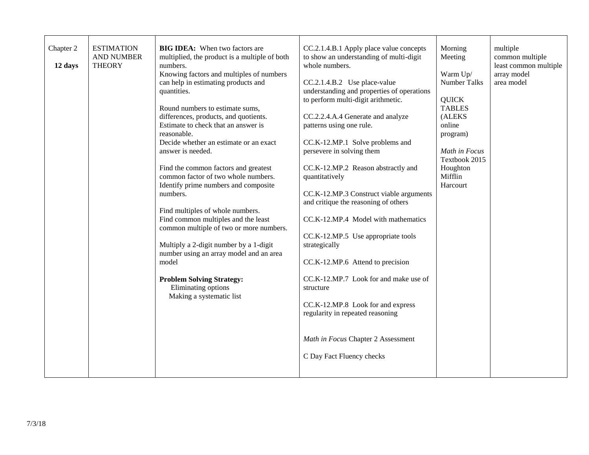| Chapter 2<br>12 days | <b>ESTIMATION</b><br><b>AND NUMBER</b><br><b>THEORY</b> | <b>BIG IDEA:</b> When two factors are<br>multiplied, the product is a multiple of both<br>numbers.<br>Knowing factors and multiples of numbers<br>can help in estimating products and<br>quantities.<br>Round numbers to estimate sums,<br>differences, products, and quotients.<br>Estimate to check that an answer is<br>reasonable.<br>Decide whether an estimate or an exact<br>answer is needed.<br>Find the common factors and greatest<br>common factor of two whole numbers.<br>Identify prime numbers and composite<br>numbers.<br>Find multiples of whole numbers.<br>Find common multiples and the least<br>common multiple of two or more numbers.<br>Multiply a 2-digit number by a 1-digit<br>number using an array model and an area<br>model<br><b>Problem Solving Strategy:</b><br>Eliminating options<br>Making a systematic list | CC.2.1.4.B.1 Apply place value concepts<br>to show an understanding of multi-digit<br>whole numbers.<br>CC.2.1.4.B.2 Use place-value<br>understanding and properties of operations<br>to perform multi-digit arithmetic.<br>CC.2.2.4.A.4 Generate and analyze<br>patterns using one rule.<br>CC.K-12.MP.1 Solve problems and<br>persevere in solving them<br>CC.K-12.MP.2 Reason abstractly and<br>quantitatively<br>CC.K-12.MP.3 Construct viable arguments<br>and critique the reasoning of others<br>CC.K-12.MP.4 Model with mathematics<br>CC.K-12.MP.5 Use appropriate tools<br>strategically<br>CC.K-12.MP.6 Attend to precision<br>CC.K-12.MP.7 Look for and make use of<br>structure<br>CC.K-12.MP.8 Look for and express<br>regularity in repeated reasoning<br>Math in Focus Chapter 2 Assessment<br>C Day Fact Fluency checks | Morning<br>Meeting<br>Warm Up/<br><b>Number Talks</b><br><b>QUICK</b><br><b>TABLES</b><br>(ALEKS<br>online<br>program)<br>Math in Focus<br>Textbook 2015<br>Houghton<br>Mifflin<br>Harcourt | multiple<br>common multiple<br>least common multiple<br>array model<br>area model |
|----------------------|---------------------------------------------------------|-----------------------------------------------------------------------------------------------------------------------------------------------------------------------------------------------------------------------------------------------------------------------------------------------------------------------------------------------------------------------------------------------------------------------------------------------------------------------------------------------------------------------------------------------------------------------------------------------------------------------------------------------------------------------------------------------------------------------------------------------------------------------------------------------------------------------------------------------------|------------------------------------------------------------------------------------------------------------------------------------------------------------------------------------------------------------------------------------------------------------------------------------------------------------------------------------------------------------------------------------------------------------------------------------------------------------------------------------------------------------------------------------------------------------------------------------------------------------------------------------------------------------------------------------------------------------------------------------------------------------------------------------------------------------------------------------------|---------------------------------------------------------------------------------------------------------------------------------------------------------------------------------------------|-----------------------------------------------------------------------------------|
|                      |                                                         |                                                                                                                                                                                                                                                                                                                                                                                                                                                                                                                                                                                                                                                                                                                                                                                                                                                     |                                                                                                                                                                                                                                                                                                                                                                                                                                                                                                                                                                                                                                                                                                                                                                                                                                          |                                                                                                                                                                                             |                                                                                   |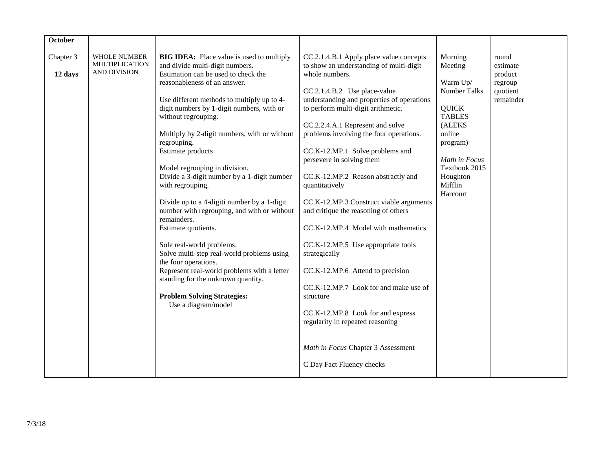| October              |                                                              |                                                                                                                                                                                                                                                                                                                                                                                                                                                                                                                                                                                                                                                                                                                                                                                                                                                               |                                                                                                                                                                                                                                                                                                                                                                                                                                                                                                                                                                                                                                                                                                                                                                                                                                                        |                                                                                                                                                                                             |                                                                  |
|----------------------|--------------------------------------------------------------|---------------------------------------------------------------------------------------------------------------------------------------------------------------------------------------------------------------------------------------------------------------------------------------------------------------------------------------------------------------------------------------------------------------------------------------------------------------------------------------------------------------------------------------------------------------------------------------------------------------------------------------------------------------------------------------------------------------------------------------------------------------------------------------------------------------------------------------------------------------|--------------------------------------------------------------------------------------------------------------------------------------------------------------------------------------------------------------------------------------------------------------------------------------------------------------------------------------------------------------------------------------------------------------------------------------------------------------------------------------------------------------------------------------------------------------------------------------------------------------------------------------------------------------------------------------------------------------------------------------------------------------------------------------------------------------------------------------------------------|---------------------------------------------------------------------------------------------------------------------------------------------------------------------------------------------|------------------------------------------------------------------|
| Chapter 3<br>12 days | <b>WHOLE NUMBER</b><br><b>MULTIPLICATION</b><br>AND DIVISION | <b>BIG IDEA:</b> Place value is used to multiply<br>and divide multi-digit numbers.<br>Estimation can be used to check the<br>reasonableness of an answer.<br>Use different methods to multiply up to 4-<br>digit numbers by 1-digit numbers, with or<br>without regrouping.<br>Multiply by 2-digit numbers, with or without<br>regrouping.<br>Estimate products<br>Model regrouping in division.<br>Divide a 3-digit number by a 1-digit number<br>with regrouping.<br>Divide up to a 4-digiti number by a 1-digit<br>number with regrouping, and with or without<br>remainders.<br>Estimate quotients.<br>Sole real-world problems.<br>Solve multi-step real-world problems using<br>the four operations.<br>Represent real-world problems with a letter<br>standing for the unknown quantity.<br><b>Problem Solving Strategies:</b><br>Use a diagram/model | CC.2.1.4.B.1 Apply place value concepts<br>to show an understanding of multi-digit<br>whole numbers.<br>CC.2.1.4.B.2 Use place-value<br>understanding and properties of operations<br>to perform multi-digit arithmetic.<br>CC.2.2.4.A.1 Represent and solve<br>problems involving the four operations.<br>CC.K-12.MP.1 Solve problems and<br>persevere in solving them<br>CC.K-12.MP.2 Reason abstractly and<br>quantitatively<br>CC.K-12.MP.3 Construct viable arguments<br>and critique the reasoning of others<br>CC.K-12.MP.4 Model with mathematics<br>CC.K-12.MP.5 Use appropriate tools<br>strategically<br>CC.K-12.MP.6 Attend to precision<br>CC.K-12.MP.7 Look for and make use of<br>structure<br>CC.K-12.MP.8 Look for and express<br>regularity in repeated reasoning<br>Math in Focus Chapter 3 Assessment<br>C Day Fact Fluency checks | Morning<br>Meeting<br>Warm Up/<br><b>Number Talks</b><br><b>QUICK</b><br><b>TABLES</b><br>(ALEKS<br>online<br>program)<br>Math in Focus<br>Textbook 2015<br>Houghton<br>Mifflin<br>Harcourt | round<br>estimate<br>product<br>regroup<br>quotient<br>remainder |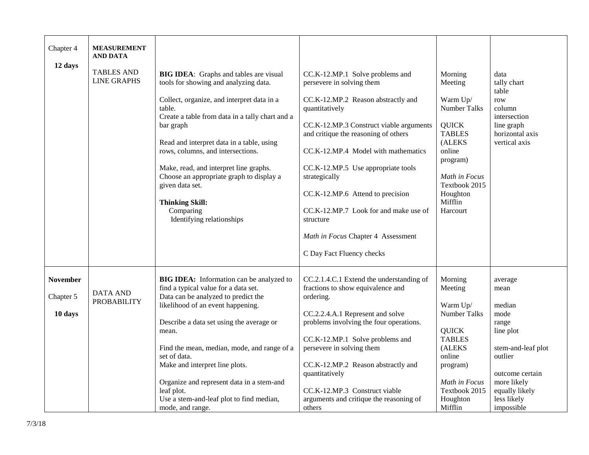| Chapter 4<br>12 days                    | <b>MEASUREMENT</b><br><b>AND DATA</b><br><b>TABLES AND</b><br><b>LINE GRAPHS</b> | <b>BIG IDEA:</b> Graphs and tables are visual<br>tools for showing and analyzing data.<br>Collect, organize, and interpret data in a<br>table.<br>Create a table from data in a tally chart and a<br>bar graph<br>Read and interpret data in a table, using<br>rows, columns, and intersections.<br>Make, read, and interpret line graphs.<br>Choose an appropriate graph to display a<br>given data set.<br><b>Thinking Skill:</b><br>Comparing<br>Identifying relationships | CC.K-12.MP.1 Solve problems and<br>persevere in solving them<br>CC.K-12.MP.2 Reason abstractly and<br>quantitatively<br>CC.K-12.MP.3 Construct viable arguments<br>and critique the reasoning of others<br>CC.K-12.MP.4 Model with mathematics<br>CC.K-12.MP.5 Use appropriate tools<br>strategically<br>CC.K-12.MP.6 Attend to precision<br>CC.K-12.MP.7 Look for and make use of<br>structure<br>Math in Focus Chapter 4 Assessment<br>C Day Fact Fluency checks | Morning<br>Meeting<br>Warm Up/<br><b>Number Talks</b><br><b>QUICK</b><br><b>TABLES</b><br>(ALEKS<br>online<br>program)<br>Math in Focus<br>Textbook 2015<br>Houghton<br>Mifflin<br>Harcourt | data<br>tally chart<br>table<br>row<br>column<br>intersection<br>line graph<br>horizontal axis<br>vertical axis                                                           |
|-----------------------------------------|----------------------------------------------------------------------------------|-------------------------------------------------------------------------------------------------------------------------------------------------------------------------------------------------------------------------------------------------------------------------------------------------------------------------------------------------------------------------------------------------------------------------------------------------------------------------------|--------------------------------------------------------------------------------------------------------------------------------------------------------------------------------------------------------------------------------------------------------------------------------------------------------------------------------------------------------------------------------------------------------------------------------------------------------------------|---------------------------------------------------------------------------------------------------------------------------------------------------------------------------------------------|---------------------------------------------------------------------------------------------------------------------------------------------------------------------------|
| <b>November</b><br>Chapter 5<br>10 days | <b>DATA AND</b><br><b>PROBABILITY</b>                                            | BIG IDEA: Information can be analyzed to<br>find a typical value for a data set.<br>Data can be analyzed to predict the<br>likelihood of an event happening.<br>Describe a data set using the average or<br>mean.<br>Find the mean, median, mode, and range of a<br>set of data.<br>Make and interpret line plots.<br>Organize and represent data in a stem-and<br>leaf plot.<br>Use a stem-and-leaf plot to find median,<br>mode, and range.                                 | CC.2.1.4.C.1 Extend the understanding of<br>fractions to show equivalence and<br>ordering.<br>CC.2.2.4.A.1 Represent and solve<br>problems involving the four operations.<br>CC.K-12.MP.1 Solve problems and<br>persevere in solving them<br>CC.K-12.MP.2 Reason abstractly and<br>quantitatively<br>CC.K-12.MP.3 Construct viable<br>arguments and critique the reasoning of<br>others                                                                            | Morning<br>Meeting<br>Warm Up/<br>Number Talks<br><b>QUICK</b><br><b>TABLES</b><br>(ALEKS<br>online<br>program)<br>Math in Focus<br>Textbook 2015<br>Houghton<br>Mifflin                    | average<br>mean<br>median<br>mode<br>range<br>line plot<br>stem-and-leaf plot<br>outlier<br>outcome certain<br>more likely<br>equally likely<br>less likely<br>impossible |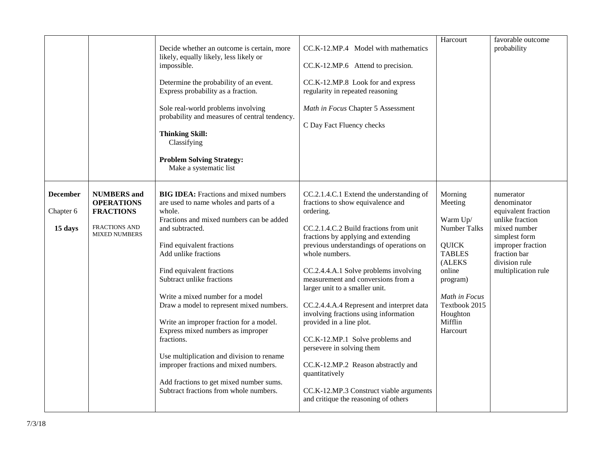|                 |                                              | Decide whether an outcome is certain, more<br>likely, equally likely, less likely or<br>impossible.<br>Determine the probability of an event.<br>Express probability as a fraction.<br>Sole real-world problems involving<br>probability and measures of central tendency.<br><b>Thinking Skill:</b><br>Classifying<br><b>Problem Solving Strategy:</b><br>Make a systematic list | CC.K-12.MP.4 Model with mathematics<br>CC.K-12.MP.6 Attend to precision.<br>CC.K-12.MP.8 Look for and express<br>regularity in repeated reasoning<br>Math in Focus Chapter 5 Assessment<br>C Day Fact Fluency checks | Harcourt            | favorable outcome<br>probability     |
|-----------------|----------------------------------------------|-----------------------------------------------------------------------------------------------------------------------------------------------------------------------------------------------------------------------------------------------------------------------------------------------------------------------------------------------------------------------------------|----------------------------------------------------------------------------------------------------------------------------------------------------------------------------------------------------------------------|---------------------|--------------------------------------|
| <b>December</b> | <b>NUMBERS</b> and                           | <b>BIG IDEA:</b> Fractions and mixed numbers                                                                                                                                                                                                                                                                                                                                      | CC.2.1.4.C.1 Extend the understanding of                                                                                                                                                                             | Morning             | numerator                            |
|                 | <b>OPERATIONS</b>                            | are used to name wholes and parts of a                                                                                                                                                                                                                                                                                                                                            | fractions to show equivalence and                                                                                                                                                                                    | Meeting             | denominator                          |
| Chapter 6       | <b>FRACTIONS</b>                             | whole.                                                                                                                                                                                                                                                                                                                                                                            | ordering.                                                                                                                                                                                                            |                     | equivalent fraction                  |
|                 |                                              | Fractions and mixed numbers can be added                                                                                                                                                                                                                                                                                                                                          |                                                                                                                                                                                                                      | Warm Up/            | unlike fraction                      |
| 15 days         | <b>FRACTIONS AND</b><br><b>MIXED NUMBERS</b> | and subtracted.                                                                                                                                                                                                                                                                                                                                                                   | CC.2.1.4.C.2 Build fractions from unit                                                                                                                                                                               | Number Talks        | mixed number                         |
|                 |                                              |                                                                                                                                                                                                                                                                                                                                                                                   | fractions by applying and extending                                                                                                                                                                                  |                     | simplest form                        |
|                 |                                              | Find equivalent fractions                                                                                                                                                                                                                                                                                                                                                         | previous understandings of operations on                                                                                                                                                                             | <b>QUICK</b>        | improper fraction                    |
|                 |                                              | Add unlike fractions                                                                                                                                                                                                                                                                                                                                                              | whole numbers.                                                                                                                                                                                                       | <b>TABLES</b>       | fraction bar                         |
|                 |                                              | Find equivalent fractions                                                                                                                                                                                                                                                                                                                                                         | CC.2.4.4.A.1 Solve problems involving                                                                                                                                                                                | (ALEKS<br>online    | division rule<br>multiplication rule |
|                 |                                              | Subtract unlike fractions                                                                                                                                                                                                                                                                                                                                                         | measurement and conversions from a                                                                                                                                                                                   | program)            |                                      |
|                 |                                              |                                                                                                                                                                                                                                                                                                                                                                                   | larger unit to a smaller unit.                                                                                                                                                                                       |                     |                                      |
|                 |                                              | Write a mixed number for a model                                                                                                                                                                                                                                                                                                                                                  |                                                                                                                                                                                                                      | Math in Focus       |                                      |
|                 |                                              | Draw a model to represent mixed numbers.                                                                                                                                                                                                                                                                                                                                          | CC.2.4.4.A.4 Represent and interpret data                                                                                                                                                                            | Textbook 2015       |                                      |
|                 |                                              |                                                                                                                                                                                                                                                                                                                                                                                   | involving fractions using information                                                                                                                                                                                | Houghton            |                                      |
|                 |                                              | Write an improper fraction for a model.<br>Express mixed numbers as improper                                                                                                                                                                                                                                                                                                      | provided in a line plot.                                                                                                                                                                                             | Mifflin<br>Harcourt |                                      |
|                 |                                              | fractions.                                                                                                                                                                                                                                                                                                                                                                        | CC.K-12.MP.1 Solve problems and                                                                                                                                                                                      |                     |                                      |
|                 |                                              |                                                                                                                                                                                                                                                                                                                                                                                   | persevere in solving them                                                                                                                                                                                            |                     |                                      |
|                 |                                              | Use multiplication and division to rename                                                                                                                                                                                                                                                                                                                                         |                                                                                                                                                                                                                      |                     |                                      |
|                 |                                              | improper fractions and mixed numbers.                                                                                                                                                                                                                                                                                                                                             | CC.K-12.MP.2 Reason abstractly and<br>quantitatively                                                                                                                                                                 |                     |                                      |
|                 |                                              | Add fractions to get mixed number sums.                                                                                                                                                                                                                                                                                                                                           |                                                                                                                                                                                                                      |                     |                                      |
|                 |                                              | Subtract fractions from whole numbers.                                                                                                                                                                                                                                                                                                                                            | CC.K-12.MP.3 Construct viable arguments                                                                                                                                                                              |                     |                                      |
|                 |                                              |                                                                                                                                                                                                                                                                                                                                                                                   | and critique the reasoning of others                                                                                                                                                                                 |                     |                                      |
|                 |                                              |                                                                                                                                                                                                                                                                                                                                                                                   |                                                                                                                                                                                                                      |                     |                                      |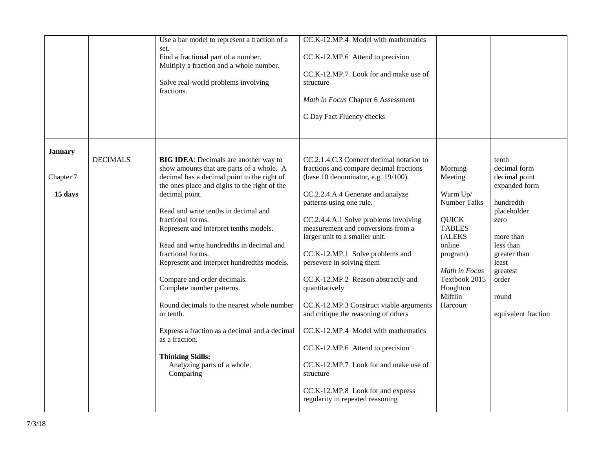|                |                 | Use a bar model to represent a fraction of a<br>set.<br>Find a fractional part of a number.<br>Multiply a fraction and a whole number.<br>Solve real-world problems involving<br>fractions.                                                                                                                                                                                                                                                                                                                                                            | CC.K-12.MP.4 Model with mathematics<br>CC.K-12.MP.6 Attend to precision<br>CC.K-12.MP.7 Look for and make use of<br>structure<br>Math in Focus Chapter 6 Assessment<br>C Day Fact Fluency checks                                                                                                                                                                                                                                                                                                                                                                |                                                                                                                                                                       |                                                                                                                                                           |
|----------------|-----------------|--------------------------------------------------------------------------------------------------------------------------------------------------------------------------------------------------------------------------------------------------------------------------------------------------------------------------------------------------------------------------------------------------------------------------------------------------------------------------------------------------------------------------------------------------------|-----------------------------------------------------------------------------------------------------------------------------------------------------------------------------------------------------------------------------------------------------------------------------------------------------------------------------------------------------------------------------------------------------------------------------------------------------------------------------------------------------------------------------------------------------------------|-----------------------------------------------------------------------------------------------------------------------------------------------------------------------|-----------------------------------------------------------------------------------------------------------------------------------------------------------|
| <b>January</b> | <b>DECIMALS</b> | <b>BIG IDEA:</b> Decimals are another way to<br>show amounts that are parts of a whole. A                                                                                                                                                                                                                                                                                                                                                                                                                                                              | CC.2.1.4.C.3 Connect decimal notation to<br>fractions and compare decimal fractions                                                                                                                                                                                                                                                                                                                                                                                                                                                                             | Morning                                                                                                                                                               | tenth<br>decimal form                                                                                                                                     |
| Chapter 7      |                 | decimal has a decimal point to the right of                                                                                                                                                                                                                                                                                                                                                                                                                                                                                                            | (base 10 denominator, e.g. 19/100).                                                                                                                                                                                                                                                                                                                                                                                                                                                                                                                             | Meeting                                                                                                                                                               | decimal point                                                                                                                                             |
| 15 days        |                 | the ones place and digits to the right of the<br>decimal point.<br>Read and write tenths in decimal and<br>fractional forms.<br>Represent and interpret tenths models.<br>Read and write hundredths in decimal and<br>fractional forms.<br>Represent and interpret hundredths models.<br>Compare and order decimals.<br>Complete number patterns.<br>Round decimals to the nearest whole number<br>or tenth.<br>Express a fraction as a decimal and a decimal<br>as a fraction.<br><b>Thinking Skills:</b><br>Analyzing parts of a whole.<br>Comparing | CC.2.2.4.A.4 Generate and analyze<br>patterns using one rule.<br>CC.2.4.4.A.1 Solve problems involving<br>measurement and conversions from a<br>larger unit to a smaller unit.<br>CC.K-12.MP.1 Solve problems and<br>persevere in solving them<br>CC.K-12.MP.2 Reason abstractly and<br>quantitatively<br>CC.K-12.MP.3 Construct viable arguments<br>and critique the reasoning of others<br>CC.K-12.MP.4 Model with mathematics<br>CC.K-12.MP.6 Attend to precision<br>CC.K-12.MP.7 Look for and make use of<br>structure<br>CC.K-12.MP.8 Look for and express | Warm Up/<br><b>Number Talks</b><br><b>QUICK</b><br><b>TABLES</b><br>(ALEKS<br>online<br>program)<br>Math in Focus<br>Textbook 2015<br>Houghton<br>Mifflin<br>Harcourt | expanded form<br>hundredth<br>placeholder<br>zero<br>more than<br>less than<br>greater than<br>least<br>greatest<br>order<br>round<br>equivalent fraction |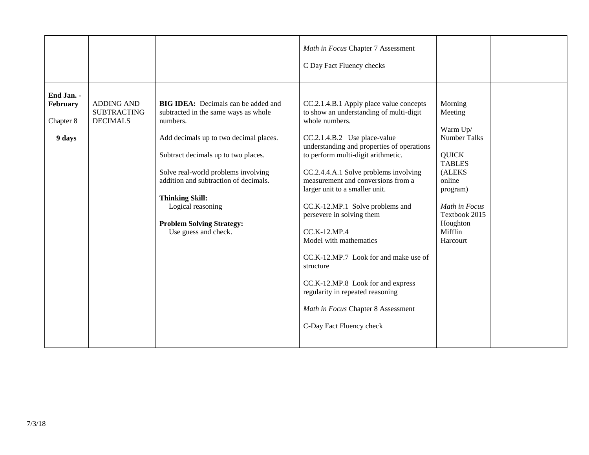|                                               |                                                            |                                                                                                                                                                                                                                                                                                                                                                            | Math in Focus Chapter 7 Assessment<br>C Day Fact Fluency checks                                                                                                                                                                                                                                                                                                                                                                                                                                                                                                                                                                                      |                                                                                                                                                                                      |  |
|-----------------------------------------------|------------------------------------------------------------|----------------------------------------------------------------------------------------------------------------------------------------------------------------------------------------------------------------------------------------------------------------------------------------------------------------------------------------------------------------------------|------------------------------------------------------------------------------------------------------------------------------------------------------------------------------------------------------------------------------------------------------------------------------------------------------------------------------------------------------------------------------------------------------------------------------------------------------------------------------------------------------------------------------------------------------------------------------------------------------------------------------------------------------|--------------------------------------------------------------------------------------------------------------------------------------------------------------------------------------|--|
| End Jan. -<br>February<br>Chapter 8<br>9 days | <b>ADDING AND</b><br><b>SUBTRACTING</b><br><b>DECIMALS</b> | <b>BIG IDEA:</b> Decimals can be added and<br>subtracted in the same ways as whole<br>numbers.<br>Add decimals up to two decimal places.<br>Subtract decimals up to two places.<br>Solve real-world problems involving<br>addition and subtraction of decimals.<br><b>Thinking Skill:</b><br>Logical reasoning<br><b>Problem Solving Strategy:</b><br>Use guess and check. | CC.2.1.4.B.1 Apply place value concepts<br>to show an understanding of multi-digit<br>whole numbers.<br>CC.2.1.4.B.2 Use place-value<br>understanding and properties of operations<br>to perform multi-digit arithmetic.<br>CC.2.4.4.A.1 Solve problems involving<br>measurement and conversions from a<br>larger unit to a smaller unit.<br>CC.K-12.MP.1 Solve problems and<br>persevere in solving them<br>CC.K-12.MP.4<br>Model with mathematics<br>CC.K-12.MP.7 Look for and make use of<br>structure<br>CC.K-12.MP.8 Look for and express<br>regularity in repeated reasoning<br>Math in Focus Chapter 8 Assessment<br>C-Day Fact Fluency check | Morning<br>Meeting<br>Warm Up/<br>Number Talks<br><b>QUICK</b><br><b>TABLES</b><br>(ALEKS<br>online<br>program)<br>Math in Focus<br>Textbook 2015<br>Houghton<br>Mifflin<br>Harcourt |  |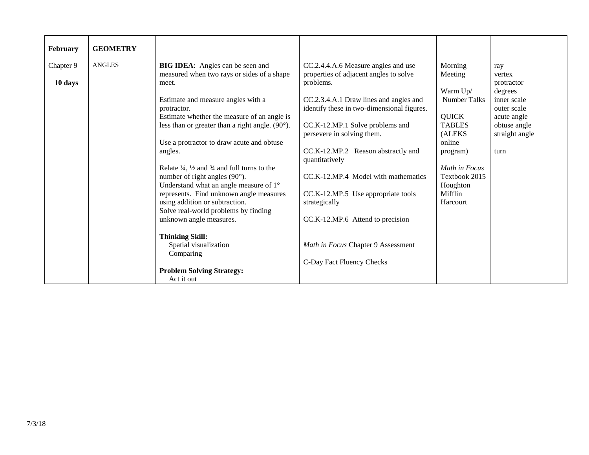| February             | <b>GEOMETRY</b> |                                                                                                                                                                                                                                                                                                                                                                                                                                                                                                                                                                                                                                              |                                                                                                                                                                                                                                                                                                                                                                                                                                               |                                                                                                                                                                                             |                                                                                                                               |
|----------------------|-----------------|----------------------------------------------------------------------------------------------------------------------------------------------------------------------------------------------------------------------------------------------------------------------------------------------------------------------------------------------------------------------------------------------------------------------------------------------------------------------------------------------------------------------------------------------------------------------------------------------------------------------------------------------|-----------------------------------------------------------------------------------------------------------------------------------------------------------------------------------------------------------------------------------------------------------------------------------------------------------------------------------------------------------------------------------------------------------------------------------------------|---------------------------------------------------------------------------------------------------------------------------------------------------------------------------------------------|-------------------------------------------------------------------------------------------------------------------------------|
| Chapter 9<br>10 days | <b>ANGLES</b>   | <b>BIG IDEA:</b> Angles can be seen and<br>measured when two rays or sides of a shape<br>meet.<br>Estimate and measure angles with a<br>protractor.<br>Estimate whether the measure of an angle is<br>less than or greater than a right angle. $(90^{\circ})$ .<br>Use a protractor to draw acute and obtuse<br>angles.<br>Relate $\frac{1}{4}$ , $\frac{1}{2}$ and $\frac{3}{4}$ and full turns to the<br>number of right angles $(90^{\circ})$ .<br>Understand what an angle measure of 1°<br>represents. Find unknown angle measures<br>using addition or subtraction.<br>Solve real-world problems by finding<br>unknown angle measures. | CC.2.4.4.A.6 Measure angles and use<br>properties of adjacent angles to solve<br>problems.<br>CC.2.3.4.A.1 Draw lines and angles and<br>identify these in two-dimensional figures.<br>CC.K-12.MP.1 Solve problems and<br>persevere in solving them.<br>CC.K-12.MP.2 Reason abstractly and<br>quantitatively<br>CC.K-12.MP.4 Model with mathematics<br>CC.K-12.MP.5 Use appropriate tools<br>strategically<br>CC.K-12.MP.6 Attend to precision | Morning<br>Meeting<br>Warm Up/<br><b>Number Talks</b><br><b>QUICK</b><br><b>TABLES</b><br>(ALEKS<br>online<br>program)<br>Math in Focus<br>Textbook 2015<br>Houghton<br>Mifflin<br>Harcourt | ray<br>vertex<br>protractor<br>degrees<br>inner scale<br>outer scale<br>acute angle<br>obtuse angle<br>straight angle<br>turn |
|                      |                 | <b>Thinking Skill:</b><br>Spatial visualization<br>Comparing<br><b>Problem Solving Strategy:</b><br>Act it out                                                                                                                                                                                                                                                                                                                                                                                                                                                                                                                               | Math in Focus Chapter 9 Assessment<br>C-Day Fact Fluency Checks                                                                                                                                                                                                                                                                                                                                                                               |                                                                                                                                                                                             |                                                                                                                               |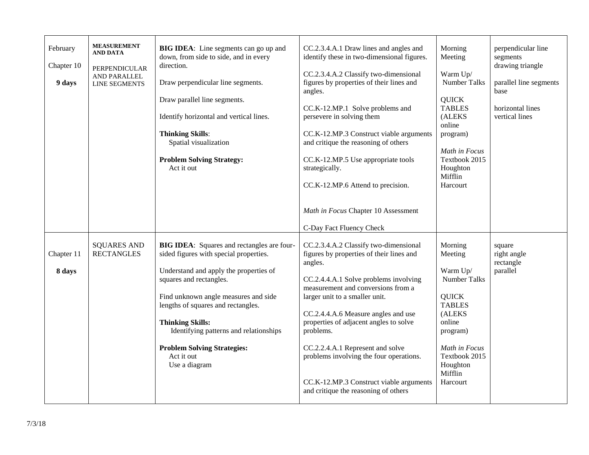| February<br>Chapter 10<br>9 days | <b>MEASUREMENT</b><br><b>AND DATA</b><br>PERPENDICULAR<br>AND PARALLEL<br><b>LINE SEGMENTS</b> | <b>BIG IDEA:</b> Line segments can go up and<br>down, from side to side, and in every<br>direction.<br>Draw perpendicular line segments.<br>Draw parallel line segments.<br>Identify horizontal and vertical lines.<br><b>Thinking Skills:</b><br>Spatial visualization<br><b>Problem Solving Strategy:</b><br>Act it out                                                                | CC.2.3.4.A.1 Draw lines and angles and<br>identify these in two-dimensional figures.<br>CC.2.3.4.A.2 Classify two-dimensional<br>figures by properties of their lines and<br>angles.<br>CC.K-12.MP.1 Solve problems and<br>persevere in solving them<br>CC.K-12.MP.3 Construct viable arguments<br>and critique the reasoning of others<br>CC.K-12.MP.5 Use appropriate tools<br>strategically.<br>CC.K-12.MP.6 Attend to precision.<br>Math in Focus Chapter 10 Assessment                               | Morning<br>Meeting<br>Warm Up/<br>Number Talks<br><b>QUICK</b><br><b>TABLES</b><br>(ALEKS<br>online<br>program)<br>Math in Focus<br>Textbook 2015<br>Houghton<br>Mifflin<br>Harcourt        | perpendicular line<br>segments<br>drawing triangle<br>parallel line segments<br>base<br>horizontal lines<br>vertical lines |
|----------------------------------|------------------------------------------------------------------------------------------------|------------------------------------------------------------------------------------------------------------------------------------------------------------------------------------------------------------------------------------------------------------------------------------------------------------------------------------------------------------------------------------------|-----------------------------------------------------------------------------------------------------------------------------------------------------------------------------------------------------------------------------------------------------------------------------------------------------------------------------------------------------------------------------------------------------------------------------------------------------------------------------------------------------------|---------------------------------------------------------------------------------------------------------------------------------------------------------------------------------------------|----------------------------------------------------------------------------------------------------------------------------|
| Chapter 11<br>8 days             | <b>SQUARES AND</b><br><b>RECTANGLES</b>                                                        | <b>BIG IDEA:</b> Squares and rectangles are four-<br>sided figures with special properties.<br>Understand and apply the properties of<br>squares and rectangles.<br>Find unknown angle measures and side<br>lengths of squares and rectangles.<br><b>Thinking Skills:</b><br>Identifying patterns and relationships<br><b>Problem Solving Strategies:</b><br>Act it out<br>Use a diagram | C-Day Fact Fluency Check<br>CC.2.3.4.A.2 Classify two-dimensional<br>figures by properties of their lines and<br>angles.<br>CC.2.4.4.A.1 Solve problems involving<br>measurement and conversions from a<br>larger unit to a smaller unit.<br>CC.2.4.4.A.6 Measure angles and use<br>properties of adjacent angles to solve<br>problems.<br>CC.2.2.4.A.1 Represent and solve<br>problems involving the four operations.<br>CC.K-12.MP.3 Construct viable arguments<br>and critique the reasoning of others | Morning<br>Meeting<br>Warm Up/<br><b>Number Talks</b><br><b>QUICK</b><br><b>TABLES</b><br>(ALEKS<br>online<br>program)<br>Math in Focus<br>Textbook 2015<br>Houghton<br>Mifflin<br>Harcourt | square<br>right angle<br>rectangle<br>parallel                                                                             |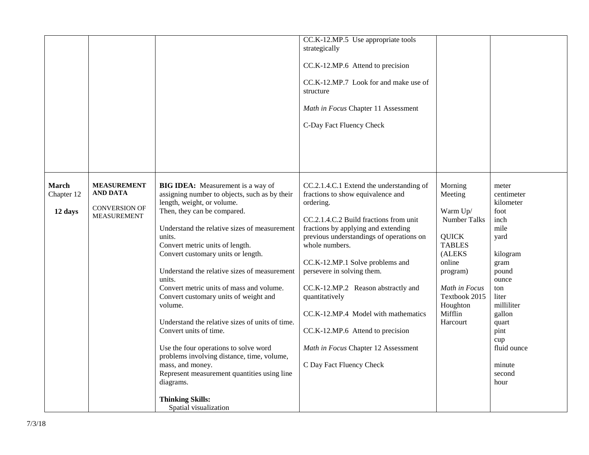|              |                      |                                                                       | CC.K-12.MP.5 Use appropriate tools<br>strategically |                                |                     |
|--------------|----------------------|-----------------------------------------------------------------------|-----------------------------------------------------|--------------------------------|---------------------|
|              |                      |                                                                       |                                                     |                                |                     |
|              |                      |                                                                       | CC.K-12.MP.6 Attend to precision                    |                                |                     |
|              |                      |                                                                       | CC.K-12.MP.7 Look for and make use of<br>structure  |                                |                     |
|              |                      |                                                                       |                                                     |                                |                     |
|              |                      |                                                                       | Math in Focus Chapter 11 Assessment                 |                                |                     |
|              |                      |                                                                       | C-Day Fact Fluency Check                            |                                |                     |
|              |                      |                                                                       |                                                     |                                |                     |
|              |                      |                                                                       |                                                     |                                |                     |
|              |                      |                                                                       |                                                     |                                |                     |
| <b>March</b> | <b>MEASUREMENT</b>   | <b>BIG IDEA:</b> Measurement is a way of                              | CC.2.1.4.C.1 Extend the understanding of            | Morning                        | meter               |
| Chapter 12   | <b>AND DATA</b>      | assigning number to objects, such as by their                         | fractions to show equivalence and                   | Meeting                        | centimeter          |
|              | <b>CONVERSION OF</b> | length, weight, or volume.                                            | ordering.                                           |                                | kilometer           |
| 12 days      | <b>MEASUREMENT</b>   | Then, they can be compared.                                           | CC.2.1.4.C.2 Build fractions from unit              | Warm Up/<br>Number Talks       | foot<br>inch        |
|              |                      | Understand the relative sizes of measurement                          | fractions by applying and extending                 |                                | mile                |
|              |                      | units.                                                                | previous understandings of operations on            | <b>QUICK</b>                   | yard                |
|              |                      | Convert metric units of length.<br>Convert customary units or length. | whole numbers.                                      | <b>TABLES</b><br>(ALEKS        | kilogram            |
|              |                      |                                                                       | CC.K-12.MP.1 Solve problems and                     | online                         | gram                |
|              |                      | Understand the relative sizes of measurement                          | persevere in solving them.                          | program)                       | pound               |
|              |                      | units.                                                                |                                                     |                                | ounce               |
|              |                      | Convert metric units of mass and volume.                              | CC.K-12.MP.2 Reason abstractly and                  | Math in Focus<br>Textbook 2015 | ton                 |
|              |                      | Convert customary units of weight and<br>volume.                      | quantitatively                                      | Houghton                       | liter<br>milliliter |
|              |                      |                                                                       | CC.K-12.MP.4 Model with mathematics                 | Mifflin                        | gallon              |
|              |                      | Understand the relative sizes of units of time.                       |                                                     | Harcourt                       | quart               |
|              |                      | Convert units of time.                                                | CC.K-12.MP.6 Attend to precision                    |                                | pint                |
|              |                      | Use the four operations to solve word                                 | Math in Focus Chapter 12 Assessment                 |                                | cup<br>fluid ounce  |
|              |                      | problems involving distance, time, volume,                            |                                                     |                                |                     |
|              |                      | mass, and money.                                                      | C Day Fact Fluency Check                            |                                | minute              |
|              |                      | Represent measurement quantities using line                           |                                                     |                                | second              |
|              |                      | diagrams.                                                             |                                                     |                                | hour                |
|              |                      | <b>Thinking Skills:</b>                                               |                                                     |                                |                     |
|              |                      | Spatial visualization                                                 |                                                     |                                |                     |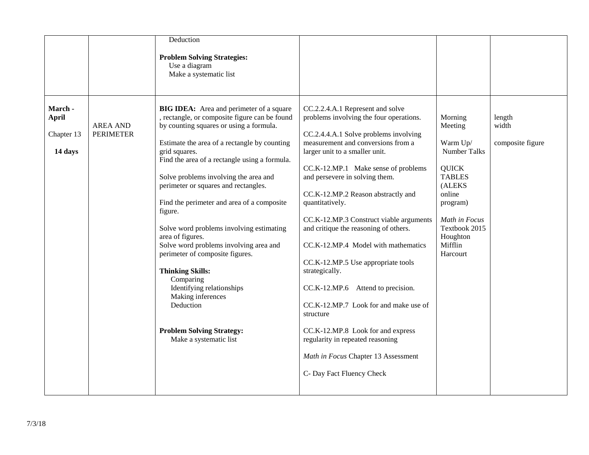| Use a diagram<br>Make a systematic list<br>March -<br><b>BIG IDEA:</b> Area and perimeter of a square<br>CC.2.2.4.A.1 Represent and solve<br>, rectangle, or composite figure can be found<br>problems involving the four operations.<br><b>April</b><br>Morning<br>length<br>by counting squares or using a formula.<br>width<br><b>AREA AND</b><br>Meeting<br><b>PERIMETER</b><br>CC.2.4.4.A.1 Solve problems involving<br>Chapter 13<br>measurement and conversions from a<br>Estimate the area of a rectangle by counting<br>Warm Up/<br>composite figure<br><b>Number Talks</b><br>grid squares.<br>larger unit to a smaller unit.<br>14 days<br>Find the area of a rectangle using a formula.<br>CC.K-12.MP.1 Make sense of problems<br><b>QUICK</b><br>and persevere in solving them.<br><b>TABLES</b><br>Solve problems involving the area and<br>perimeter or squares and rectangles.<br>(ALEKS<br>online<br>CC.K-12.MP.2 Reason abstractly and |  | Deduction                                  |                 |          |  |
|----------------------------------------------------------------------------------------------------------------------------------------------------------------------------------------------------------------------------------------------------------------------------------------------------------------------------------------------------------------------------------------------------------------------------------------------------------------------------------------------------------------------------------------------------------------------------------------------------------------------------------------------------------------------------------------------------------------------------------------------------------------------------------------------------------------------------------------------------------------------------------------------------------------------------------------------------------|--|--------------------------------------------|-----------------|----------|--|
|                                                                                                                                                                                                                                                                                                                                                                                                                                                                                                                                                                                                                                                                                                                                                                                                                                                                                                                                                          |  | <b>Problem Solving Strategies:</b>         |                 |          |  |
| figure.<br>CC.K-12.MP.3 Construct viable arguments<br>Math in Focus<br>and critique the reasoning of others.<br>Textbook 2015<br>Solve word problems involving estimating<br>Houghton<br>area of figures.<br>Solve word problems involving area and<br>Mifflin<br>CC.K-12.MP.4 Model with mathematics<br>perimeter of composite figures.<br>Harcourt<br>CC.K-12.MP.5 Use appropriate tools<br><b>Thinking Skills:</b><br>strategically.<br>Comparing<br>Identifying relationships<br>Attend to precision.<br>CC.K-12.MP.6<br>Making inferences<br>Deduction<br>CC.K-12.MP.7 Look for and make use of<br>structure<br>CC.K-12.MP.8 Look for and express<br><b>Problem Solving Strategy:</b><br>Make a systematic list<br>regularity in repeated reasoning<br>Math in Focus Chapter 13 Assessment<br>C- Day Fact Fluency Check                                                                                                                             |  | Find the perimeter and area of a composite | quantitatively. | program) |  |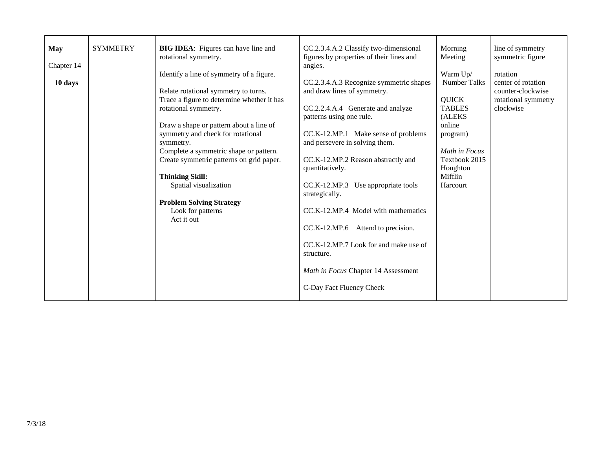| <b>May</b><br><b>SYMMETRY</b><br>BIG IDEA: Figures can have line and<br>CC.2.3.4.A.2 Classify two-dimensional<br>Morning<br>rotational symmetry.<br>figures by properties of their lines and<br>Meeting<br>Chapter 14<br>angles.<br>Identify a line of symmetry of a figure.<br>Warm Up/<br><b>Number Talks</b><br>10 days<br>CC.2.3.4.A.3 Recognize symmetric shapes<br>Relate rotational symmetry to turns.<br>and draw lines of symmetry.<br>Trace a figure to determine whether it has<br><b>QUICK</b><br><b>TABLES</b><br>rotational symmetry.<br>CC.2.2.4.A.4 Generate and analyze<br>patterns using one rule.<br>(ALEKS<br>Draw a shape or pattern about a line of<br>online<br>symmetry and check for rotational<br>CC.K-12.MP.1 Make sense of problems<br>program)<br>and persevere in solving them.<br>symmetry.<br>Complete a symmetric shape or pattern.<br>Math in Focus<br>Create symmetric patterns on grid paper.<br>Textbook 2015<br>CC.K-12.MP.2 Reason abstractly and<br>Houghton<br>quantitatively.<br><b>Thinking Skill:</b><br>Mifflin<br>CC.K-12.MP.3 Use appropriate tools<br>Spatial visualization<br>Harcourt<br>strategically.<br><b>Problem Solving Strategy</b><br>CC.K-12.MP.4 Model with mathematics<br>Look for patterns<br>Act it out<br>CC.K-12.MP.6<br>Attend to precision.<br>CC.K-12.MP.7 Look for and make use of<br>structure.<br>Math in Focus Chapter 14 Assessment<br>C-Day Fact Fluency Check | line of symmetry<br>symmetric figure<br>rotation<br>center of rotation<br>counter-clockwise<br>rotational symmetry<br>clockwise |
|------------------------------------------------------------------------------------------------------------------------------------------------------------------------------------------------------------------------------------------------------------------------------------------------------------------------------------------------------------------------------------------------------------------------------------------------------------------------------------------------------------------------------------------------------------------------------------------------------------------------------------------------------------------------------------------------------------------------------------------------------------------------------------------------------------------------------------------------------------------------------------------------------------------------------------------------------------------------------------------------------------------------------------------------------------------------------------------------------------------------------------------------------------------------------------------------------------------------------------------------------------------------------------------------------------------------------------------------------------------------------------------------------------------------------------------|---------------------------------------------------------------------------------------------------------------------------------|